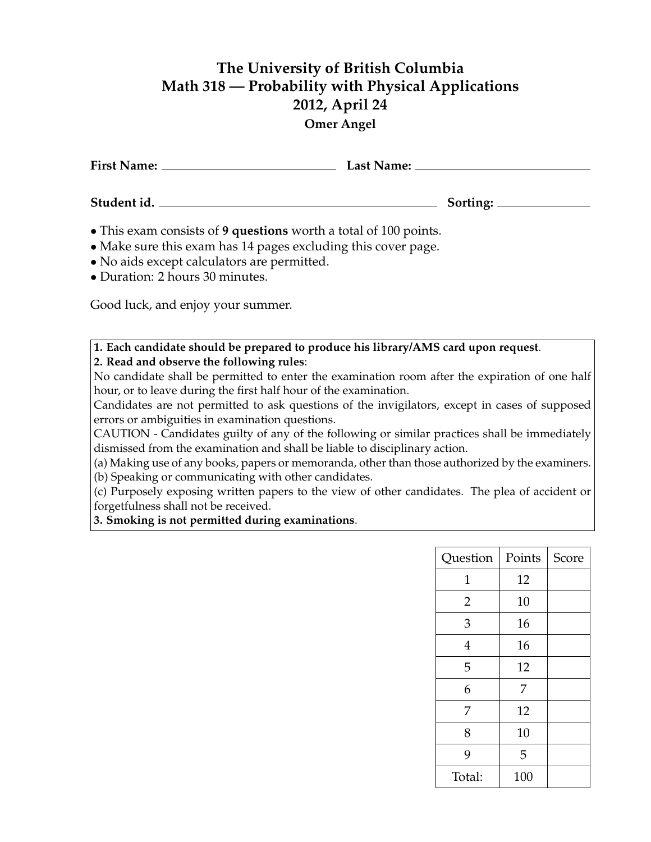## **The University of British Columbia Math 318 — Probability with Physical Applications 2012, April 24**

## **Omer Angel**

| • This exam consists of 9 questions worth a total of 100 points.<br>• Make sure this exam has 14 pages excluding this cover page. |  |
|-----------------------------------------------------------------------------------------------------------------------------------|--|

- No aids except calculators are permitted.
- Duration: 2 hours 30 minutes.

Good luck, and enjoy your summer.

**1. Each candidate should be prepared to produce his library/AMS card upon request**. **2. Read and observe the following rules**:

No candidate shall be permitted to enter the examination room after the expiration of one half hour, or to leave during the first half hour of the examination.

Candidates are not permitted to ask questions of the invigilators, except in cases of supposed errors or ambiguities in examination questions.

CAUTION - Candidates guilty of any of the following or similar practices shall be immediately dismissed from the examination and shall be liable to disciplinary action.

(a) Making use of any books, papers or memoranda, other than those authorized by the examiners.

(b) Speaking or communicating with other candidates.

(c) Purposely exposing written papers to the view of other candidates. The plea of accident or forgetfulness shall not be received.

**3. Smoking is not permitted during examinations**.

| Question | Points | Score |
|----------|--------|-------|
| 1        | 12     |       |
| 2        | 10     |       |
| 3        | 16     |       |
| 4        | 16     |       |
| 5        | 12     |       |
| 6        | 7      |       |
| 7        | 12     |       |
| 8        | 10     |       |
| 9        | 5      |       |
| Total:   | 100    |       |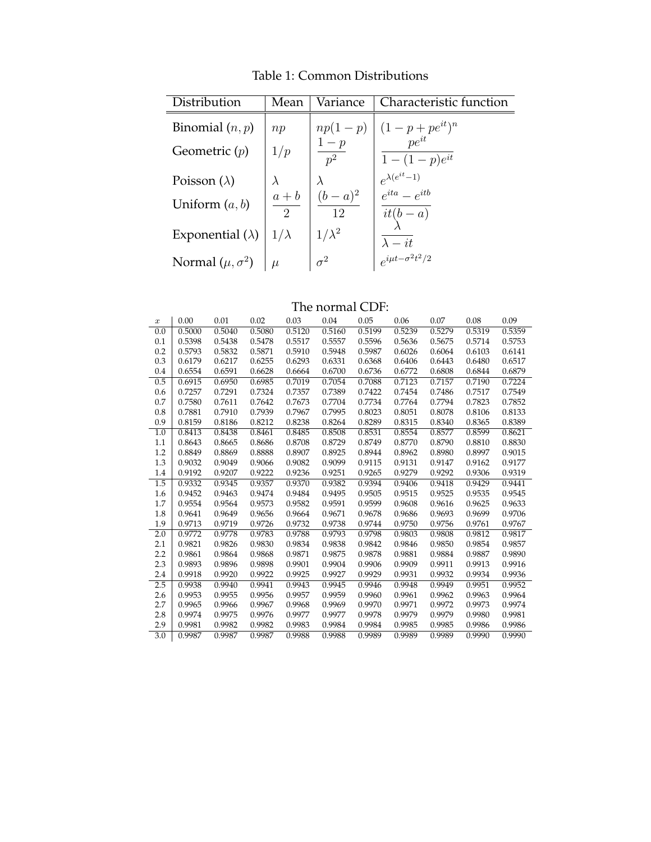| Distribution             | Mean         | Variance          | Characteristic function                                                     |
|--------------------------|--------------|-------------------|-----------------------------------------------------------------------------|
| Binomial $(n, p)$        | np           |                   | $\begin{array}{c c} np(1-p) & (1-p+pe^{it})^n \\ 1-p & pe^{it} \end{array}$ |
| Geometric $(p)$          | 1/p          | $\frac{1-p}{p^2}$ | $1-(1-p)e^{it}$                                                             |
| Poisson $(\lambda)$      | $\lambda$    |                   | $\begin{array}{l} e^{\lambda(e^{it}-1)} \\ e^{ita}-e^{itb} \end{array}$     |
| Uniform $(a, b)$         | $a + b$<br>2 | $(b-a)^2$<br>12   | $it(b-a)$                                                                   |
| Exponential $(\lambda)$  | $1/\lambda$  | $1/\lambda^2$     | $\lambda - it$                                                              |
| Normal $(\mu, \sigma^2)$ | $\mu$        | $\sigma^2$        | $e^{i\mu t - \sigma^2 t^2/2}$                                               |

Table 1: Common Distributions

The normal CDF:

| $\boldsymbol{x}$ | 0.00   | 0.01   | 0.02   | 0.03   | 0.04   | 0.05   | 0.06   | 0.07   | 0.08   | 0.09   |
|------------------|--------|--------|--------|--------|--------|--------|--------|--------|--------|--------|
| 0.0              | 0.5000 | 0.5040 | 0.5080 | 0.5120 | 0.5160 | 0.5199 | 0.5239 | 0.5279 | 0.5319 | 0.5359 |
| 0.1              | 0.5398 | 0.5438 | 0.5478 | 0.5517 | 0.5557 | 0.5596 | 0.5636 | 0.5675 | 0.5714 | 0.5753 |
| 0.2              | 0.5793 | 0.5832 | 0.5871 | 0.5910 | 0.5948 | 0.5987 | 0.6026 | 0.6064 | 0.6103 | 0.6141 |
| 0.3              | 0.6179 | 0.6217 | 0.6255 | 0.6293 | 0.6331 | 0.6368 | 0.6406 | 0.6443 | 0.6480 | 0.6517 |
| 0.4              | 0.6554 | 0.6591 | 0.6628 | 0.6664 | 0.6700 | 0.6736 | 0.6772 | 0.6808 | 0.6844 | 0.6879 |
| 0.5              | 0.6915 | 0.6950 | 0.6985 | 0.7019 | 0.7054 | 0.7088 | 0.7123 | 0.7157 | 0.7190 | 0.7224 |
| 0.6              | 0.7257 | 0.7291 | 0.7324 | 0.7357 | 0.7389 | 0.7422 | 0.7454 | 0.7486 | 0.7517 | 0.7549 |
| 0.7              | 0.7580 | 0.7611 | 0.7642 | 0.7673 | 0.7704 | 0.7734 | 0.7764 | 0.7794 | 0.7823 | 0.7852 |
| 0.8              | 0.7881 | 0.7910 | 0.7939 | 0.7967 | 0.7995 | 0.8023 | 0.8051 | 0.8078 | 0.8106 | 0.8133 |
| 0.9              | 0.8159 | 0.8186 | 0.8212 | 0.8238 | 0.8264 | 0.8289 | 0.8315 | 0.8340 | 0.8365 | 0.8389 |
| 1.0              | 0.8413 | 0.8438 | 0.8461 | 0.8485 | 0.8508 | 0.8531 | 0.8554 | 0.8577 | 0.8599 | 0.8621 |
| 1.1              | 0.8643 | 0.8665 | 0.8686 | 0.8708 | 0.8729 | 0.8749 | 0.8770 | 0.8790 | 0.8810 | 0.8830 |
| 1.2              | 0.8849 | 0.8869 | 0.8888 | 0.8907 | 0.8925 | 0.8944 | 0.8962 | 0.8980 | 0.8997 | 0.9015 |
| 1.3              | 0.9032 | 0.9049 | 0.9066 | 0.9082 | 0.9099 | 0.9115 | 0.9131 | 0.9147 | 0.9162 | 0.9177 |
| 1.4              | 0.9192 | 0.9207 | 0.9222 | 0.9236 | 0.9251 | 0.9265 | 0.9279 | 0.9292 | 0.9306 | 0.9319 |
| 1.5              | 0.9332 | 0.9345 | 0.9357 | 0.9370 | 0.9382 | 0.9394 | 0.9406 | 0.9418 | 0.9429 | 0.9441 |
| 1.6              | 0.9452 | 0.9463 | 0.9474 | 0.9484 | 0.9495 | 0.9505 | 0.9515 | 0.9525 | 0.9535 | 0.9545 |
| 1.7              | 0.9554 | 0.9564 | 0.9573 | 0.9582 | 0.9591 | 0.9599 | 0.9608 | 0.9616 | 0.9625 | 0.9633 |
| 1.8              | 0.9641 | 0.9649 | 0.9656 | 0.9664 | 0.9671 | 0.9678 | 0.9686 | 0.9693 | 0.9699 | 0.9706 |
| 1.9              | 0.9713 | 0.9719 | 0.9726 | 0.9732 | 0.9738 | 0.9744 | 0.9750 | 0.9756 | 0.9761 | 0.9767 |
| 2.0              | 0.9772 | 0.9778 | 0.9783 | 0.9788 | 0.9793 | 0.9798 | 0.9803 | 0.9808 | 0.9812 | 0.9817 |
| 2.1              | 0.9821 | 0.9826 | 0.9830 | 0.9834 | 0.9838 | 0.9842 | 0.9846 | 0.9850 | 0.9854 | 0.9857 |
| 2.2              | 0.9861 | 0.9864 | 0.9868 | 0.9871 | 0.9875 | 0.9878 | 0.9881 | 0.9884 | 0.9887 | 0.9890 |
| 2.3              | 0.9893 | 0.9896 | 0.9898 | 0.9901 | 0.9904 | 0.9906 | 0.9909 | 0.9911 | 0.9913 | 0.9916 |
| 2.4              | 0.9918 | 0.9920 | 0.9922 | 0.9925 | 0.9927 | 0.9929 | 0.9931 | 0.9932 | 0.9934 | 0.9936 |
| 2.5              | 0.9938 | 0.9940 | 0.9941 | 0.9943 | 0.9945 | 0.9946 | 0.9948 | 0.9949 | 0.9951 | 0.9952 |
| 2.6              | 0.9953 | 0.9955 | 0.9956 | 0.9957 | 0.9959 | 0.9960 | 0.9961 | 0.9962 | 0.9963 | 0.9964 |
| 2.7              | 0.9965 | 0.9966 | 0.9967 | 0.9968 | 0.9969 | 0.9970 | 0.9971 | 0.9972 | 0.9973 | 0.9974 |
| 2.8              | 0.9974 | 0.9975 | 0.9976 | 0.9977 | 0.9977 | 0.9978 | 0.9979 | 0.9979 | 0.9980 | 0.9981 |
| 2.9              | 0.9981 | 0.9982 | 0.9982 | 0.9983 | 0.9984 | 0.9984 | 0.9985 | 0.9985 | 0.9986 | 0.9986 |
| 3.0              | 0.9987 | 0.9987 | 0.9987 | 0.9988 | 0.9988 | 0.9989 | 0.9989 | 0.9989 | 0.9990 | 0.9990 |
|                  |        |        |        |        |        |        |        |        |        |        |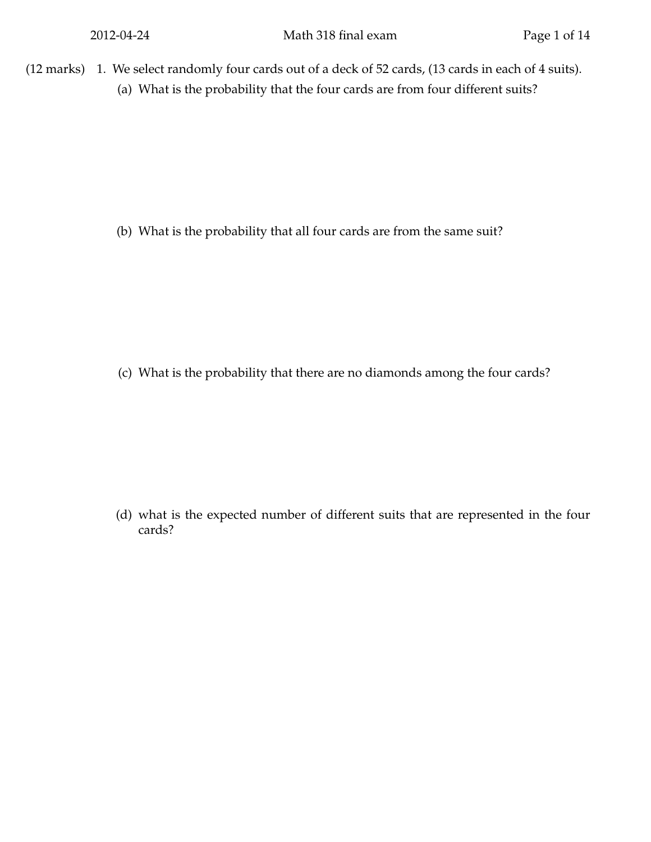$(12 \text{ marks})$  1. We select randomly four cards out of a deck of 52 cards,  $(13 \text{ cards in each of 4 suits}).$ (a) What is the probability that the four cards are from four different suits?

(b) What is the probability that all four cards are from the same suit?

(c) What is the probability that there are no diamonds among the four cards?

(d) what is the expected number of different suits that are represented in the four cards?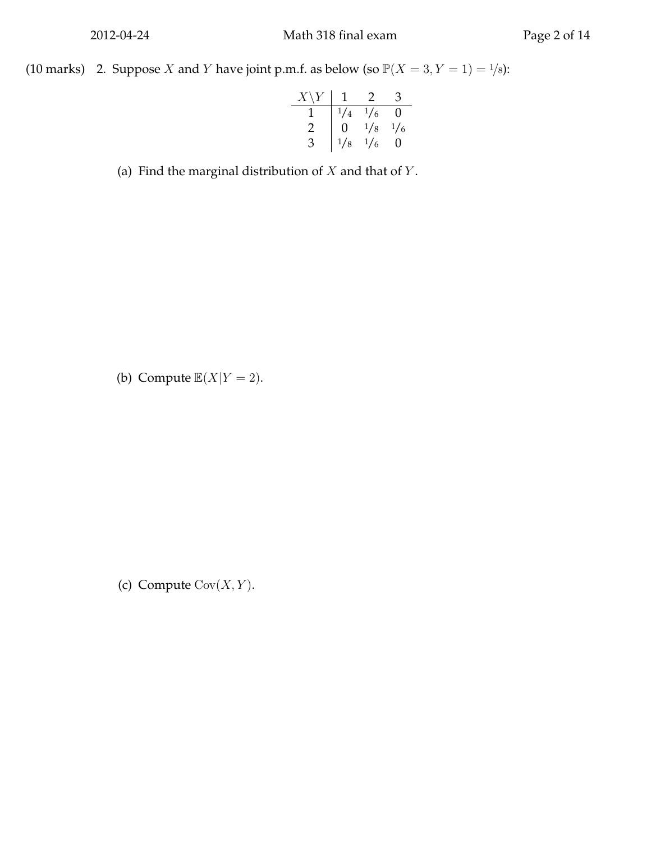(10 marks) 2. Suppose X and Y have joint p.m.f. as below (so  $\mathbb{P}(X = 3, Y = 1) = \frac{1}{8}$ ):

$$
\begin{array}{c|ccccc}\nX \setminus Y & 1 & 2 & 3 \\
\hline\n1 & \frac{1}{4} & \frac{1}{6} & 0 \\
2 & 0 & \frac{1}{8} & \frac{1}{6} \\
3 & \frac{1}{8} & \frac{1}{6} & 0\n\end{array}
$$

(a) Find the marginal distribution of  $X$  and that of  $Y$ .

(b) Compute  $\mathbb{E}(X|Y=2)$ .

(c) Compute  $\text{Cov}(X, Y)$ .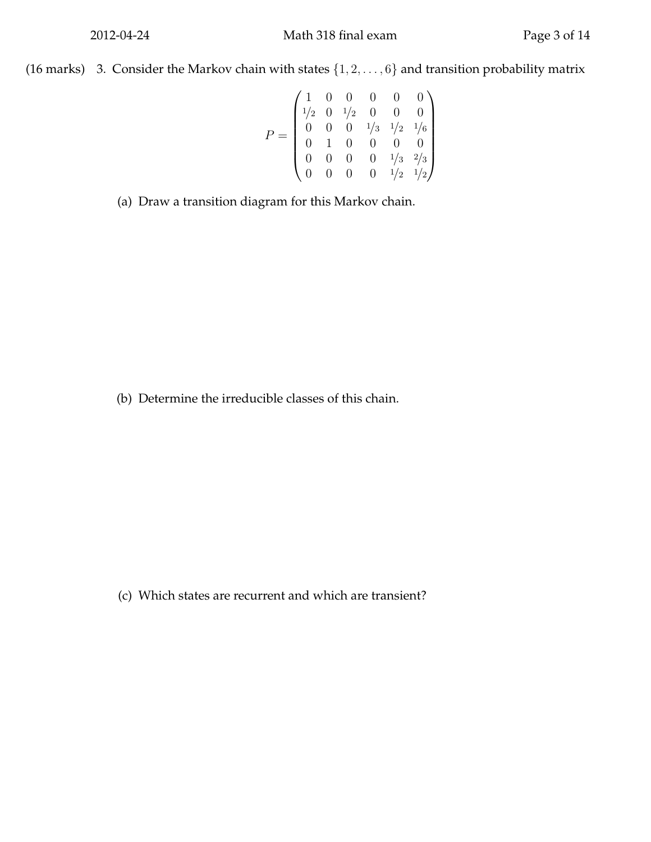(16 marks) 3. Consider the Markov chain with states  $\{1, 2, \ldots, 6\}$  and transition probability matrix

$$
P = \begin{pmatrix} 1 & 0 & 0 & 0 & 0 & 0 \\ 1/2 & 0 & 1/2 & 0 & 0 & 0 \\ 0 & 0 & 0 & 1/3 & 1/2 & 1/6 \\ 0 & 1 & 0 & 0 & 0 & 0 \\ 0 & 0 & 0 & 0 & 1/3 & 2/3 \\ 0 & 0 & 0 & 0 & 1/2 & 1/2 \end{pmatrix}
$$

(a) Draw a transition diagram for this Markov chain.

(b) Determine the irreducible classes of this chain.

(c) Which states are recurrent and which are transient?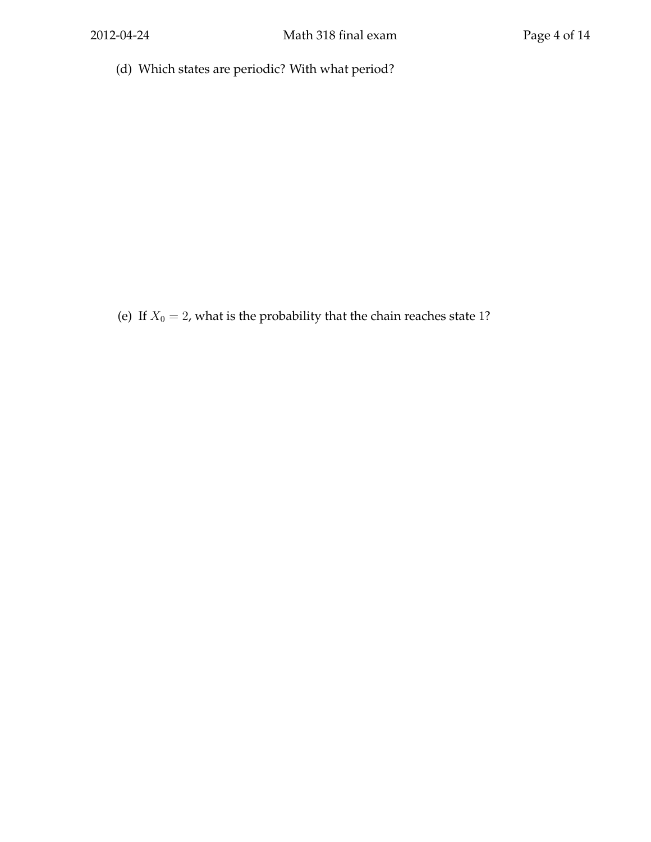(d) Which states are periodic? With what period?

(e) If  $X_0 = 2$ , what is the probability that the chain reaches state 1?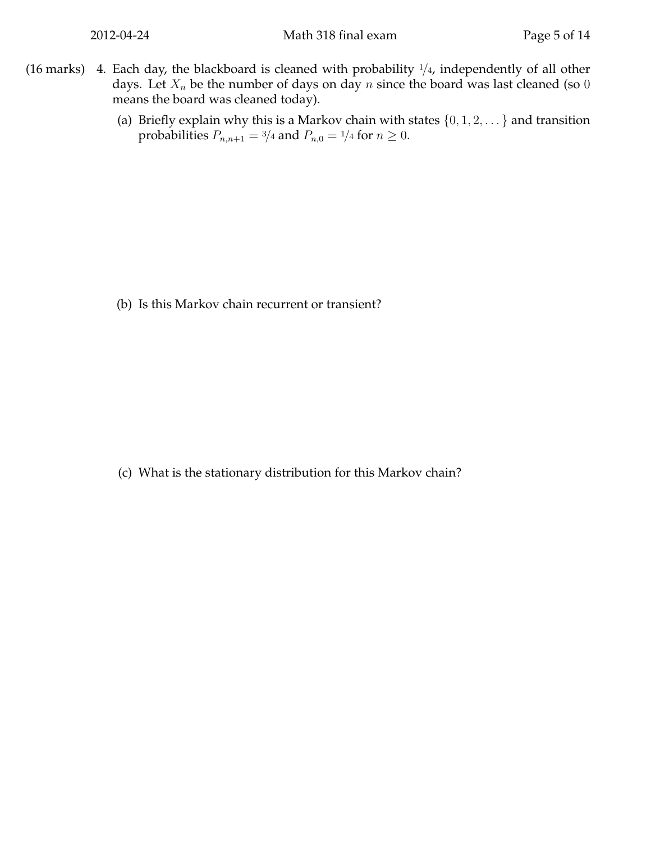- (16 marks) 4. Each day, the blackboard is cleaned with probability  $1/4$ , independently of all other days. Let  $X_n$  be the number of days on day  $n$  since the board was last cleaned (so  $0$ means the board was cleaned today).
	- (a) Briefly explain why this is a Markov chain with states  $\{0, 1, 2, \dots\}$  and transition probabilities  $P_{n,n+1} = \frac{3}{4}$  and  $P_{n,0} = \frac{1}{4}$  for  $n \ge 0$ .

(b) Is this Markov chain recurrent or transient?

(c) What is the stationary distribution for this Markov chain?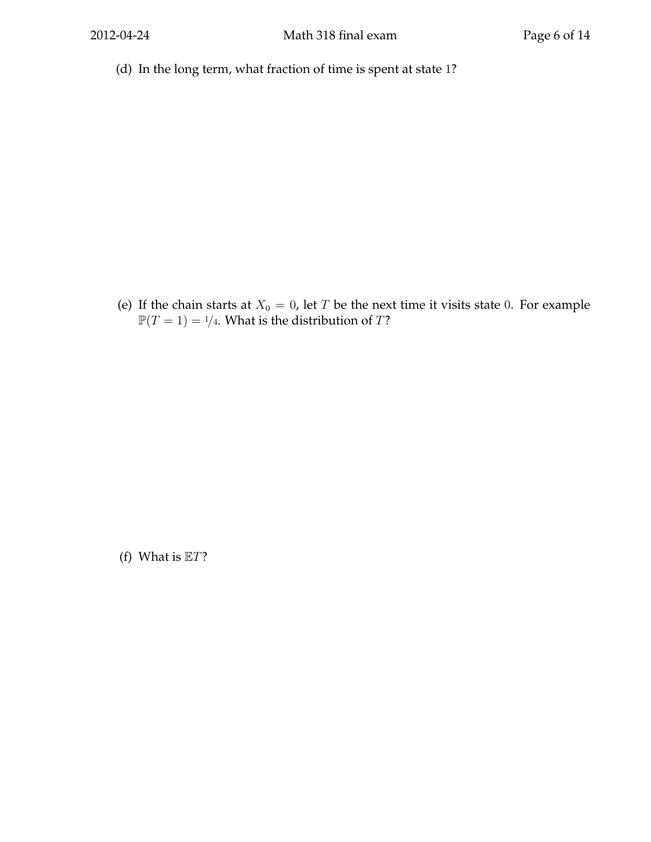(d) In the long term, what fraction of time is spent at state 1?

(e) If the chain starts at  $X_0 = 0$ , let T be the next time it visits state 0. For example  $\mathbb{P}(T = 1) = \frac{1}{4}$ . What is the distribution of T?

(f) What is  $ET$ ?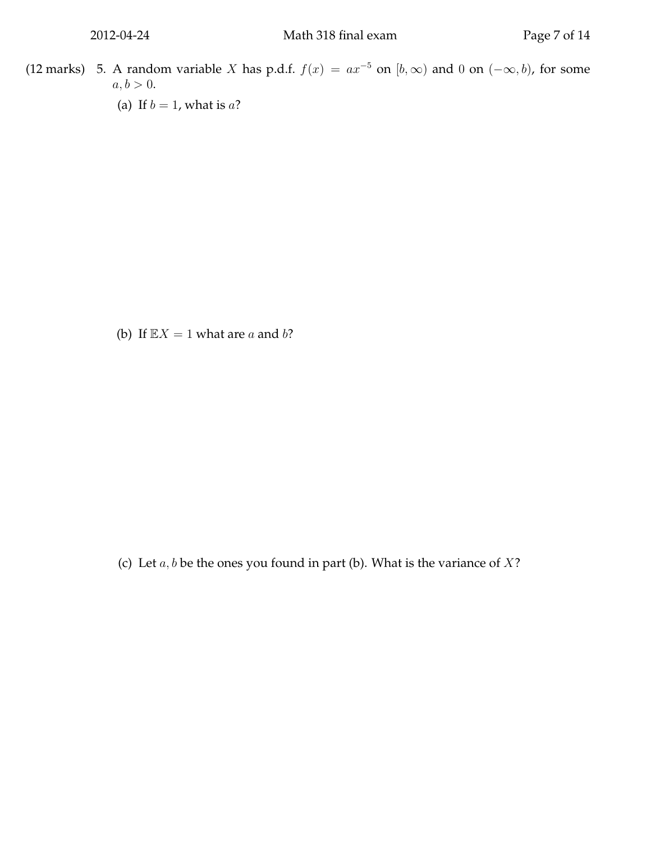- (12 marks) 5. A random variable X has p.d.f.  $f(x) = ax^{-5}$  on  $[b, \infty)$  and 0 on  $(-\infty, b)$ , for some  $a, b > 0.$ 
	- (a) If  $b = 1$ , what is a?

(b) If  $\mathbb{E}X = 1$  what are *a* and *b*?

(c) Let  $a, b$  be the ones you found in part (b). What is the variance of  $X$ ?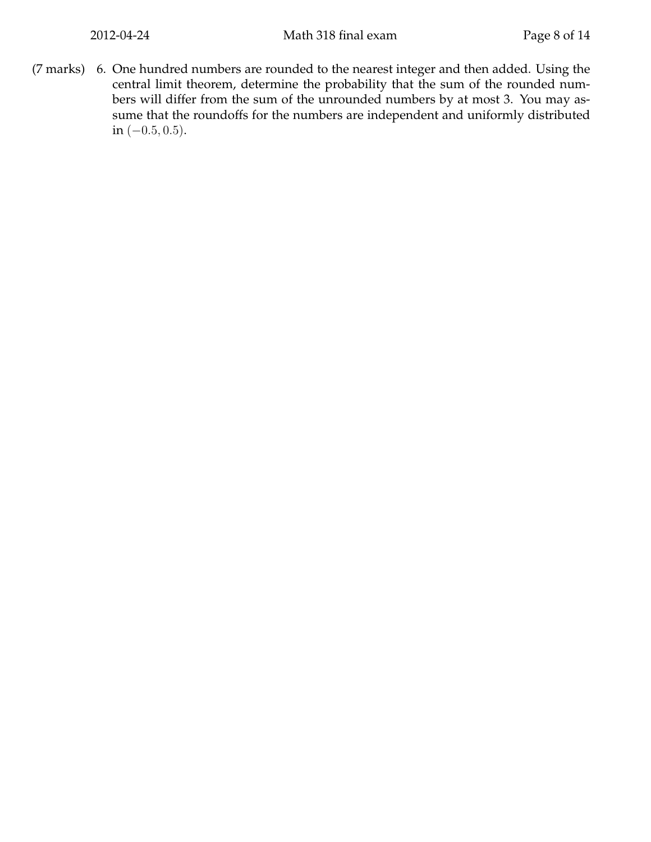(7 marks) 6. One hundred numbers are rounded to the nearest integer and then added. Using the central limit theorem, determine the probability that the sum of the rounded numbers will differ from the sum of the unrounded numbers by at most 3. You may assume that the roundoffs for the numbers are independent and uniformly distributed in  $(-0.5, 0.5)$ .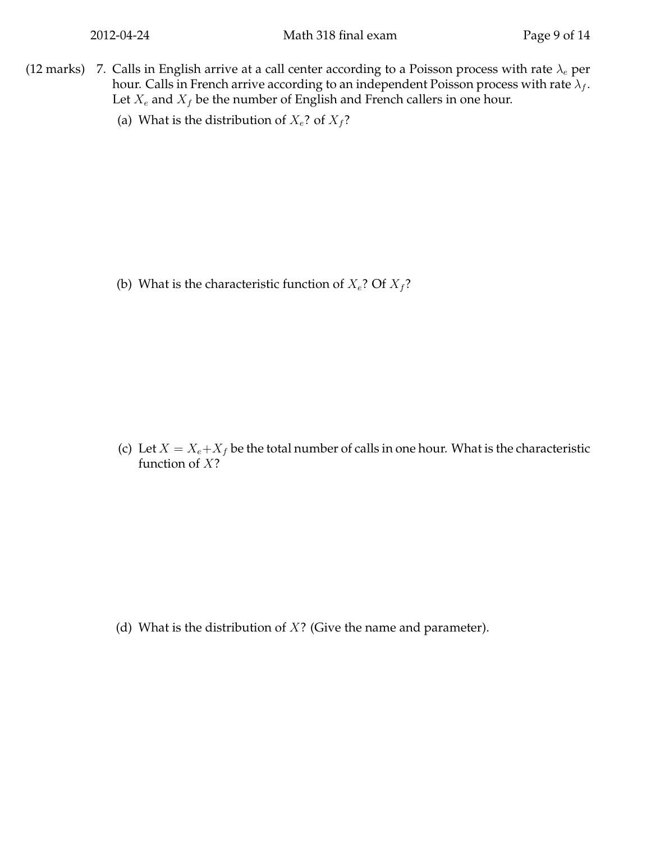- (12 marks) 7. Calls in English arrive at a call center according to a Poisson process with rate  $\lambda_e$  per hour. Calls in French arrive according to an independent Poisson process with rate  $\lambda_f$ . Let  $X_e$  and  $X_f$  be the number of English and French callers in one hour.
	- (a) What is the distribution of  $X_e$ ? of  $X_f$ ?

(b) What is the characteristic function of  $X_e$ ? Of  $X_f$ ?

(c) Let  $X = X_e + X_f$  be the total number of calls in one hour. What is the characteristic function of X?

(d) What is the distribution of  $X$ ? (Give the name and parameter).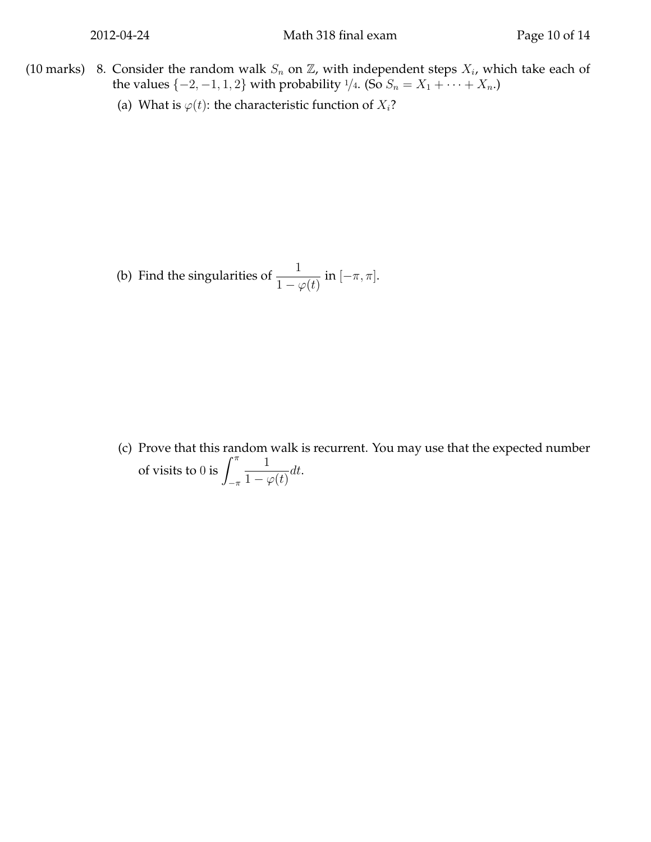- (10 marks) 8. Consider the random walk  $S_n$  on  $\mathbb{Z}$ , with independent steps  $X_i$ , which take each of the values { $-2, -1, 1, 2$ } with probability <sup>1</sup>/4. (So  $S_n = X_1 + \cdots + X_n$ .)
	- (a) What is  $\varphi(t)$ : the characteristic function of  $X_i$ ?

(b) Find the singularities of  $\frac{1}{1 - \varphi(t)}$  in  $[-\pi, \pi]$ .

(c) Prove that this random walk is recurrent. You may use that the expected number of visits to 0 is  $\int^{\pi}$  $-\pi$ 1  $\frac{1}{1-\varphi(t)}dt.$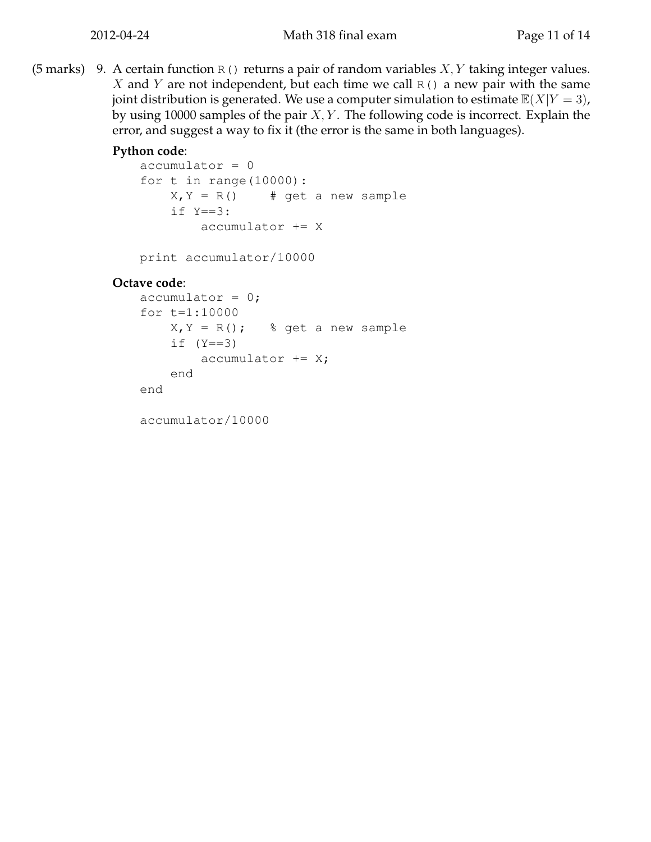(5 marks) 9. A certain function R() returns a pair of random variables  $X, Y$  taking integer values. X and Y are not independent, but each time we call  $R()$  a new pair with the same joint distribution is generated. We use a computer simulation to estimate  $\mathbb{E}(X|Y=3)$ , by using 10000 samples of the pair  $X, Y$ . The following code is incorrect. Explain the error, and suggest a way to fix it (the error is the same in both languages).

## **Python code**:

```
accumulator = 0
for t in range(10000):
    X, Y = R() # get a new sample
    if Y==3:
        accumulator += X
```
print accumulator/10000

## **Octave code**:

```
accumulator = 0;for t=1:10000
   X, Y = R(); % get a new sample
   if (Y==3)accumulator += X;end
end
```
accumulator/10000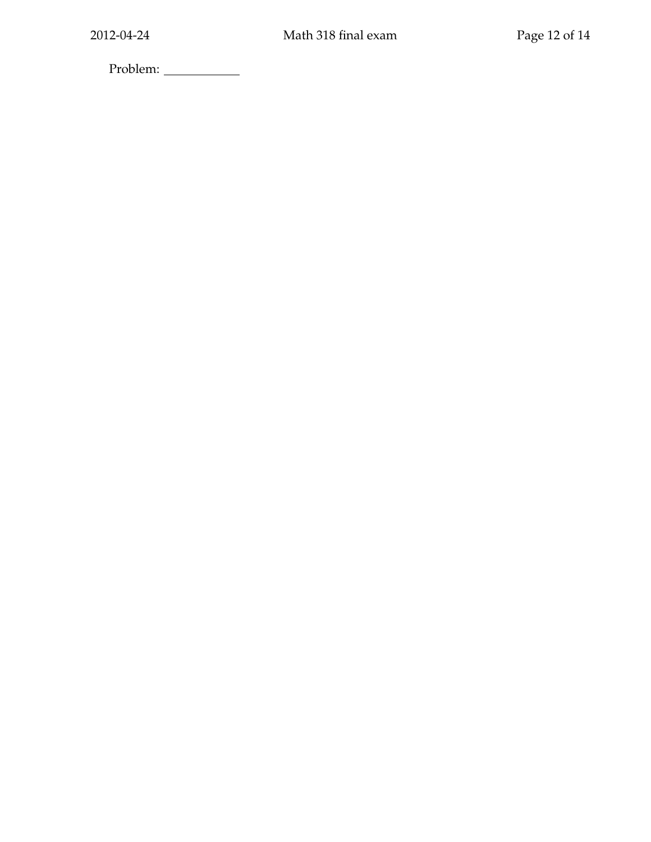Problem: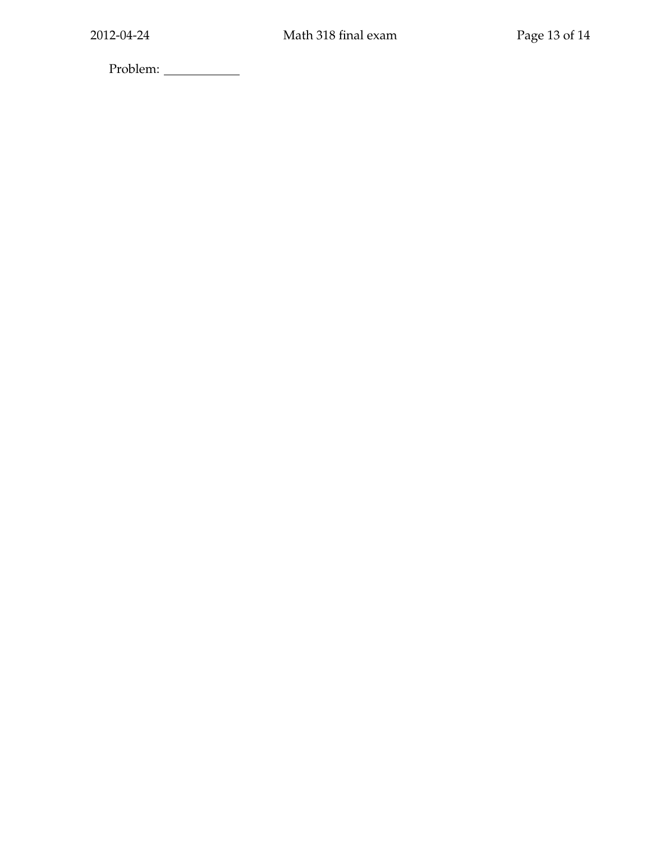Problem: